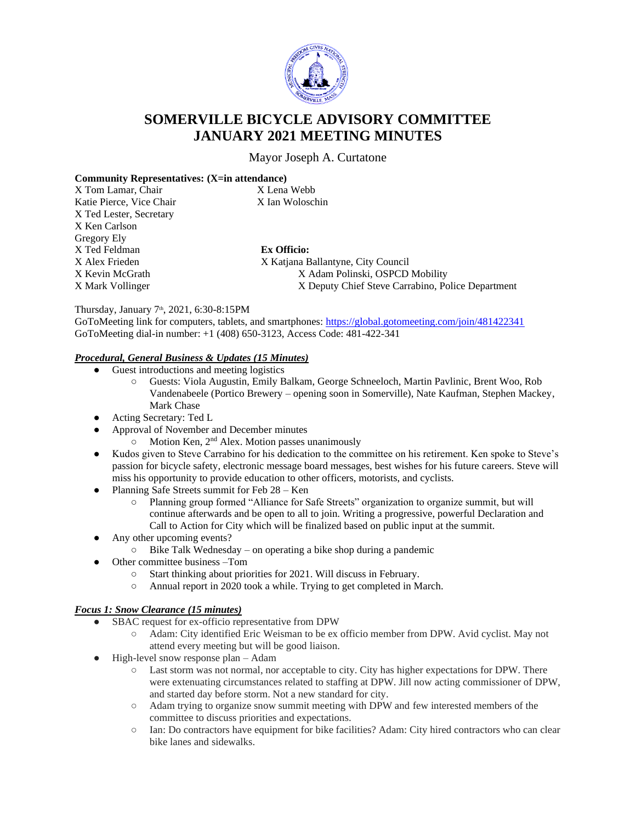

# **SOMERVILLE BICYCLE ADVISORY COMMITTEE JANUARY 2021 MEETING MINUTES**

Mayor Joseph A. Curtatone

#### **Community Representatives: (X=in attendance)**

| X Tom Lamar, Chair       | X Lena Webb                                       |
|--------------------------|---------------------------------------------------|
| Katie Pierce, Vice Chair | X Ian Woloschin                                   |
| X Ted Lester, Secretary  |                                                   |
| X Ken Carlson            |                                                   |
| Gregory Ely              |                                                   |
| X Ted Feldman            | <b>Ex Officio:</b>                                |
| X Alex Frieden           | X Katjana Ballantyne, City Council                |
| X Kevin McGrath          | X Adam Polinski, OSPCD Mobility                   |
| X Mark Vollinger         | X Deputy Chief Steve Carrabino, Police Department |
|                          |                                                   |

#### Thursday, January 7<sup>th</sup>, 2021, 6:30-8:15PM

GoToMeeting link for computers, tablets, and smartphones:<https://global.gotomeeting.com/join/481422341> GoToMeeting dial-in number: +1 (408) 650-3123, Access Code: 481-422-341

#### *Procedural, General Business & Updates (15 Minutes)*

- Guest introductions and meeting logistics
	- Guests: Viola Augustin, Emily Balkam, George Schneeloch, Martin Pavlinic, Brent Woo, Rob Vandenabeele (Portico Brewery – opening soon in Somerville), Nate Kaufman, Stephen Mackey, Mark Chase
- Acting Secretary: Ted L
- Approval of November and December minutes
	- $\circ$  Motion Ken,  $2<sup>nd</sup>$  Alex. Motion passes unanimously
- Kudos given to Steve Carrabino for his dedication to the committee on his retirement. Ken spoke to Steve's passion for bicycle safety, electronic message board messages, best wishes for his future careers. Steve will miss his opportunity to provide education to other officers, motorists, and cyclists.
- Planning Safe Streets summit for Feb 28 Ken
	- Planning group formed "Alliance for Safe Streets" organization to organize summit, but will continue afterwards and be open to all to join. Writing a progressive, powerful Declaration and Call to Action for City which will be finalized based on public input at the summit.
- Any other upcoming events?
	- Bike Talk Wednesday on operating a bike shop during a pandemic
- Other committee business –Tom
	- Start thinking about priorities for 2021. Will discuss in February.
	- Annual report in 2020 took a while. Trying to get completed in March.

#### *Focus 1: Snow Clearance (15 minutes)*

- SBAC request for ex-officio representative from DPW
	- Adam: City identified Eric Weisman to be ex officio member from DPW. Avid cyclist. May not attend every meeting but will be good liaison.
- $\bullet$  High-level snow response plan Adam
	- Last storm was not normal, nor acceptable to city. City has higher expectations for DPW. There were extenuating circumstances related to staffing at DPW. Jill now acting commissioner of DPW, and started day before storm. Not a new standard for city.
	- Adam trying to organize snow summit meeting with DPW and few interested members of the committee to discuss priorities and expectations.
	- Ian: Do contractors have equipment for bike facilities? Adam: City hired contractors who can clear bike lanes and sidewalks.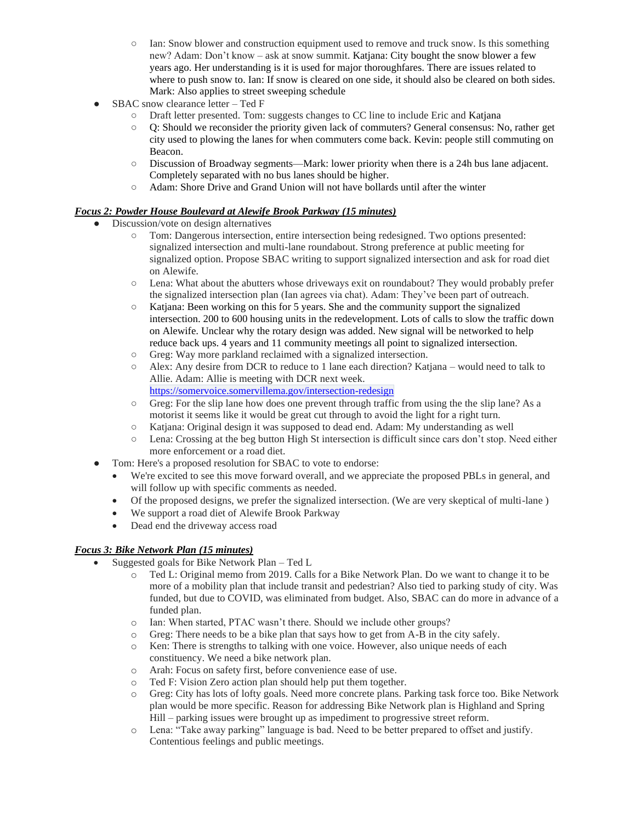- Ian: Snow blower and construction equipment used to remove and truck snow. Is this something new? Adam: Don't know – ask at snow summit. Katjana: City bought the snow blower a few years ago. Her understanding is it is used for major thoroughfares. There are issues related to where to push snow to. Ian: If snow is cleared on one side, it should also be cleared on both sides. Mark: Also applies to street sweeping schedule
- SBAC snow clearance letter Ted F
	- Draft letter presented. Tom: suggests changes to CC line to include Eric and Katjana
	- Q: Should we reconsider the priority given lack of commuters? General consensus: No, rather get city used to plowing the lanes for when commuters come back. Kevin: people still commuting on Beacon.
	- Discussion of Broadway segments—Mark: lower priority when there is a 24h bus lane adjacent. Completely separated with no bus lanes should be higher.
	- Adam: Shore Drive and Grand Union will not have bollards until after the winter

## *Focus 2: Powder House Boulevard at Alewife Brook Parkway (15 minutes)*

- Discussion/vote on design alternatives
	- Tom: Dangerous intersection, entire intersection being redesigned. Two options presented: signalized intersection and multi-lane roundabout. Strong preference at public meeting for signalized option. Propose SBAC writing to support signalized intersection and ask for road diet on Alewife.
	- Lena: What about the abutters whose driveways exit on roundabout? They would probably prefer the signalized intersection plan (Ian agrees via chat). Adam: They've been part of outreach.
	- Katjana: Been working on this for 5 years. She and the community support the signalized intersection. 200 to 600 housing units in the redevelopment. Lots of calls to slow the traffic down on Alewife. Unclear why the rotary design was added. New signal will be networked to help reduce back ups. 4 years and 11 community meetings all point to signalized intersection.
	- Greg: Way more parkland reclaimed with a signalized intersection.
	- Alex: Any desire from DCR to reduce to 1 lane each direction? Katjana would need to talk to Allie. Adam: Allie is meeting with DCR next week.
	- <https://somervoice.somervillema.gov/intersection-redesign>
	- $\circ$  Greg: For the slip lane how does one prevent through traffic from using the the slip lane? As a motorist it seems like it would be great cut through to avoid the light for a right turn.
	- Katjana: Original design it was supposed to dead end. Adam: My understanding as well
	- Lena: Crossing at the beg button High St intersection is difficult since cars don't stop. Need either more enforcement or a road diet.
- Tom: Here's a proposed resolution for SBAC to vote to endorse:
	- We're excited to see this move forward overall, and we appreciate the proposed PBLs in general, and will follow up with specific comments as needed.
	- Of the proposed designs, we prefer the signalized intersection. (We are very skeptical of multi-lane )
	- We support a road diet of Alewife Brook Parkway
	- Dead end the driveway access road

## *Focus 3: Bike Network Plan (15 minutes)*

- Suggested goals for Bike Network Plan Ted L
	- o Ted L: Original memo from 2019. Calls for a Bike Network Plan. Do we want to change it to be more of a mobility plan that include transit and pedestrian? Also tied to parking study of city. Was funded, but due to COVID, was eliminated from budget. Also, SBAC can do more in advance of a funded plan.
	- o Ian: When started, PTAC wasn't there. Should we include other groups?
	- o Greg: There needs to be a bike plan that says how to get from A-B in the city safely.
	- o Ken: There is strengths to talking with one voice. However, also unique needs of each constituency. We need a bike network plan.
	- o Arah: Focus on safety first, before convenience ease of use.
	- o Ted F: Vision Zero action plan should help put them together.
	- o Greg: City has lots of lofty goals. Need more concrete plans. Parking task force too. Bike Network plan would be more specific. Reason for addressing Bike Network plan is Highland and Spring Hill – parking issues were brought up as impediment to progressive street reform.
	- o Lena: "Take away parking" language is bad. Need to be better prepared to offset and justify. Contentious feelings and public meetings.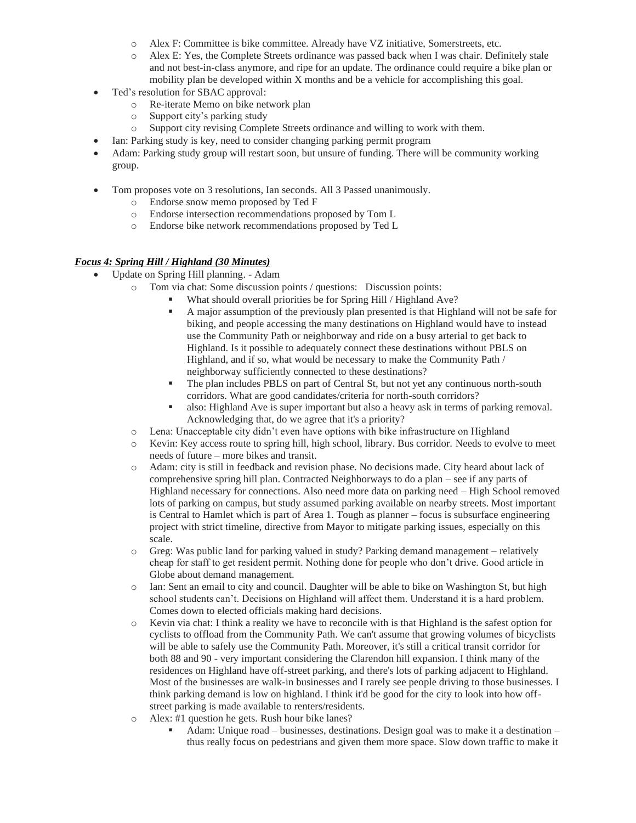- o Alex F: Committee is bike committee. Already have VZ initiative, Somerstreets, etc.
- o Alex E: Yes, the Complete Streets ordinance was passed back when I was chair. Definitely stale and not best-in-class anymore, and ripe for an update. The ordinance could require a bike plan or mobility plan be developed within X months and be a vehicle for accomplishing this goal.
- Ted's resolution for SBAC approval:
	- o Re-iterate Memo on bike network plan
	- o Support city's parking study
	- o Support city revising Complete Streets ordinance and willing to work with them.
	- Ian: Parking study is key, need to consider changing parking permit program
- Adam: Parking study group will restart soon, but unsure of funding. There will be community working group.
- Tom proposes vote on 3 resolutions, Ian seconds. All 3 Passed unanimously.
	- o Endorse snow memo proposed by Ted F
	- o Endorse intersection recommendations proposed by Tom L
	- o Endorse bike network recommendations proposed by Ted L

### *Focus 4: Spring Hill / Highland (30 Minutes)*

- Update on Spring Hill planning. Adam
	- o Tom via chat: Some discussion points / questions: Discussion points:
		- What should overall priorities be for Spring Hill / Highland Ave?
		- A major assumption of the previously plan presented is that Highland will not be safe for biking, and people accessing the many destinations on Highland would have to instead use the Community Path or neighborway and ride on a busy arterial to get back to Highland. Is it possible to adequately connect these destinations without PBLS on Highland, and if so, what would be necessary to make the Community Path / neighborway sufficiently connected to these destinations?
		- The plan includes PBLS on part of Central St, but not yet any continuous north-south corridors. What are good candidates/criteria for north-south corridors?
		- also: Highland Ave is super important but also a heavy ask in terms of parking removal. Acknowledging that, do we agree that it's a priority?
	- o Lena: Unacceptable city didn't even have options with bike infrastructure on Highland
	- o Kevin: Key access route to spring hill, high school, library. Bus corridor. Needs to evolve to meet needs of future – more bikes and transit.
	- o Adam: city is still in feedback and revision phase. No decisions made. City heard about lack of comprehensive spring hill plan. Contracted Neighborways to do a plan – see if any parts of Highland necessary for connections. Also need more data on parking need – High School removed lots of parking on campus, but study assumed parking available on nearby streets. Most important is Central to Hamlet which is part of Area 1. Tough as planner – focus is subsurface engineering project with strict timeline, directive from Mayor to mitigate parking issues, especially on this scale.
	- $\circ$  Greg: Was public land for parking valued in study? Parking demand management relatively cheap for staff to get resident permit. Nothing done for people who don't drive. Good article in Globe about demand management.
	- o Ian: Sent an email to city and council. Daughter will be able to bike on Washington St, but high school students can't. Decisions on Highland will affect them. Understand it is a hard problem. Comes down to elected officials making hard decisions.
	- o Kevin via chat: I think a reality we have to reconcile with is that Highland is the safest option for cyclists to offload from the Community Path. We can't assume that growing volumes of bicyclists will be able to safely use the Community Path. Moreover, it's still a critical transit corridor for both 88 and 90 - very important considering the Clarendon hill expansion. I think many of the residences on Highland have off-street parking, and there's lots of parking adjacent to Highland. Most of the businesses are walk-in businesses and I rarely see people driving to those businesses. I think parking demand is low on highland. I think it'd be good for the city to look into how offstreet parking is made available to renters/residents.
	- o Alex: #1 question he gets. Rush hour bike lanes?
		- Adam: Unique road businesses, destinations. Design goal was to make it a destination thus really focus on pedestrians and given them more space. Slow down traffic to make it